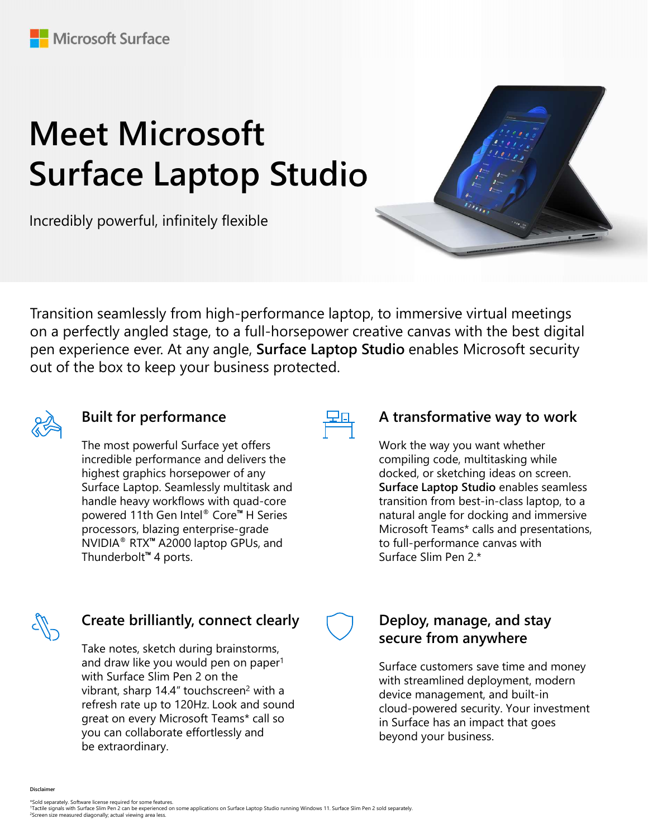# Meet Microsoft Surface Laptop Studio

Incredibly powerful, infinitely flexible



Transition seamlessly from high-performance laptop, to immersive virtual meetings on a perfectly angled stage, to a full-horsepower creative canvas with the best digital pen experience ever. At any angle, Surface Laptop Studio enables Microsoft security out of the box to keep your business protected.



## Built for performance

**Built for performance**<br>
The most powerful Surface yet offers<br>
incredible performance and delivers the<br>
incredible performance and delivers the<br>
surface Laptop. Semelessly multitaking while<br>
surface Laptop Surface Laptop S The most powerful Surface yet offers incredible performance and delivers the highest graphics horsepower of any Surface Laptop. Seamlessly multitask and handle heavy workflows with quad-core powered 11th Gen Intel® Core™ H Series processors, blazing enterprise-grade NVIDIA® RTX™ A2000 laptop GPUs, and Thunderbolt™ 4 ports.



### A transformative way to work

Work the way you want whether compiling code, multitasking while docked, or sketching ideas on screen. Surface Laptop Studio enables seamless transition from best-in-class laptop, to a natural angle for docking and immersive Microsoft Teams\* calls and presentations, to full-performance canvas with Surface Slim Pen 2.\*



## Create brilliantly, connect clearly

Tacking the experiment of the surface Slim Pen 2.<sup>2</sup><br>
NVIDIA<sup>®</sup> RTX<sup>®</sup> A2000 laptop GPUs, and<br>
Thunderbolt<sup>®</sup> 4 ports.<br>
Thunderbolt<sup>®</sup> 4 ports.<br>
Thunderbolt<sup>®</sup> 4 ports.<br>
Thunderbolt<sup>®</sup> 4 ports.<br>
Thunderbolt<sup>®</sup> 4 ports.<br>
Su Take notes, sketch during brainstorms, and draw like you would pen on paper<sup>1</sup> vibrant, sharp  $14.4$ " touchscreen<sup>2</sup> with a refresh rate up to 120Hz. Look and sound great on every Microsoft Teams\* call so you can collaborate effortlessly and be extraordinary.



Surface customers save time and money with streamlined deployment, modern device management, and built-in cloud-powered security. Your investment in Surface has an impact that goes beyond your business.

Disclaimer

\*Sold separately. Software license required for some features.<br><sup>1</sup>Tactile signals with Surface Slim Pen 2 can be experienced on some applications on Surface Laptop Studio running Windows 11. Surface Slim Pen 2 sold separat Screen size measured diagonally; actual viewing area less.